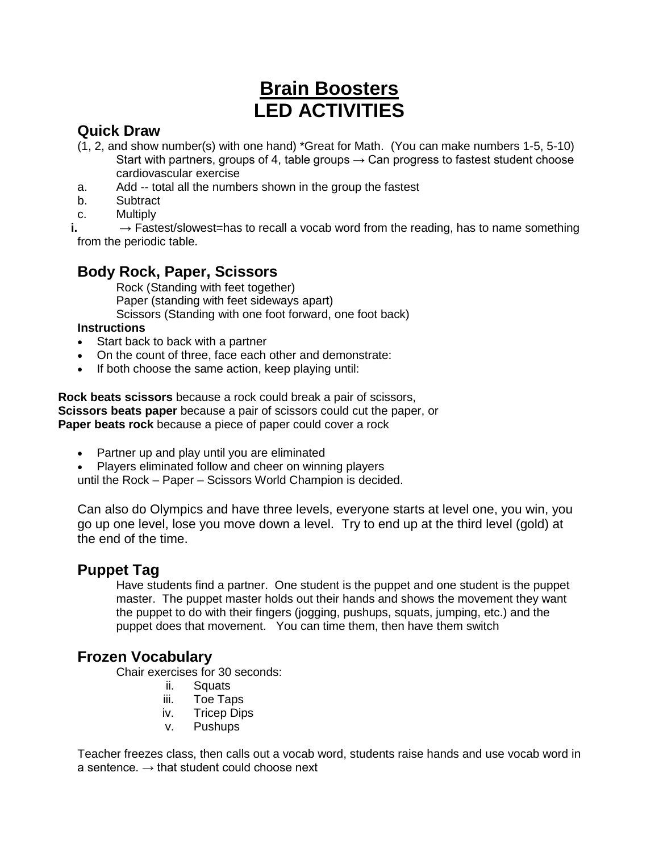# **Brain Boosters LED ACTIVITIES**

# **Quick Draw**

- (1, 2, and show number(s) with one hand) \*Great for Math. (You can make numbers 1-5, 5-10) Start with partners, groups of 4, table groups  $\rightarrow$  Can progress to fastest student choose cardiovascular exercise
- a. Add -- total all the numbers shown in the group the fastest
- b. Subtract
- c. Multiply

**i.** → Fastest/slowest=has to recall a vocab word from the reading, has to name something from the periodic table.

# **Body Rock, Paper, Scissors**

Rock (Standing with feet together) Paper (standing with feet sideways apart) Scissors (Standing with one foot forward, one foot back)

#### **Instructions**

- Start back to back with a partner
- On the count of three, face each other and demonstrate:
- If both choose the same action, keep playing until:

**Rock beats scissors** because a rock could break a pair of scissors, **Scissors beats paper** because a pair of scissors could cut the paper, or **Paper beats rock** because a piece of paper could cover a rock

- Partner up and play until you are eliminated
- Players eliminated follow and cheer on winning players

until the Rock – Paper – Scissors World Champion is decided.

Can also do Olympics and have three levels, everyone starts at level one, you win, you go up one level, lose you move down a level. Try to end up at the third level (gold) at the end of the time.

### **Puppet Tag**

Have students find a partner. One student is the puppet and one student is the puppet master. The puppet master holds out their hands and shows the movement they want the puppet to do with their fingers (jogging, pushups, squats, jumping, etc.) and the puppet does that movement. You can time them, then have them switch

### **Frozen Vocabulary**

Chair exercises for 30 seconds:

- ii. Squats
- iii. Toe Taps
- iv. Tricep Dips
- v. Pushups

Teacher freezes class, then calls out a vocab word, students raise hands and use vocab word in a sentence.  $\rightarrow$  that student could choose next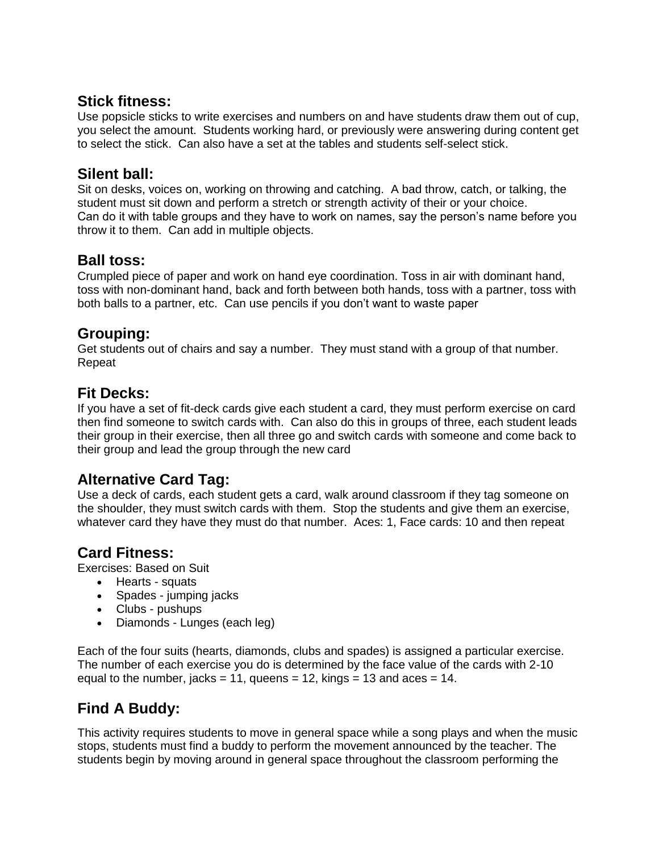### **Stick fitness:**

Use popsicle sticks to write exercises and numbers on and have students draw them out of cup, you select the amount. Students working hard, or previously were answering during content get to select the stick. Can also have a set at the tables and students self-select stick.

# **Silent ball:**

Sit on desks, voices on, working on throwing and catching. A bad throw, catch, or talking, the student must sit down and perform a stretch or strength activity of their or your choice. Can do it with table groups and they have to work on names, say the person's name before you throw it to them. Can add in multiple objects.

# **Ball toss:**

Crumpled piece of paper and work on hand eye coordination. Toss in air with dominant hand, toss with non-dominant hand, back and forth between both hands, toss with a partner, toss with both balls to a partner, etc. Can use pencils if you don't want to waste paper

# **Grouping:**

Get students out of chairs and say a number. They must stand with a group of that number. Repeat

### **Fit Decks:**

If you have a set of fit-deck cards give each student a card, they must perform exercise on card then find someone to switch cards with. Can also do this in groups of three, each student leads their group in their exercise, then all three go and switch cards with someone and come back to their group and lead the group through the new card

# **Alternative Card Tag:**

Use a deck of cards, each student gets a card, walk around classroom if they tag someone on the shoulder, they must switch cards with them. Stop the students and give them an exercise, whatever card they have they must do that number. Aces: 1, Face cards: 10 and then repeat

### **Card Fitness:**

Exercises: Based on Suit

- Hearts squats
- Spades jumping jacks
- Clubs pushups
- Diamonds Lunges (each leg)

Each of the four suits (hearts, diamonds, clubs and spades) is assigned a particular exercise. The number of each exercise you do is determined by the face value of the cards with 2-10 equal to the number, jacks = 11, queens = 12, kings = 13 and aces = 14.

# **Find A Buddy:**

This activity requires students to move in general space while a song plays and when the music stops, students must find a buddy to perform the movement announced by the teacher. The students begin by moving around in general space throughout the classroom performing the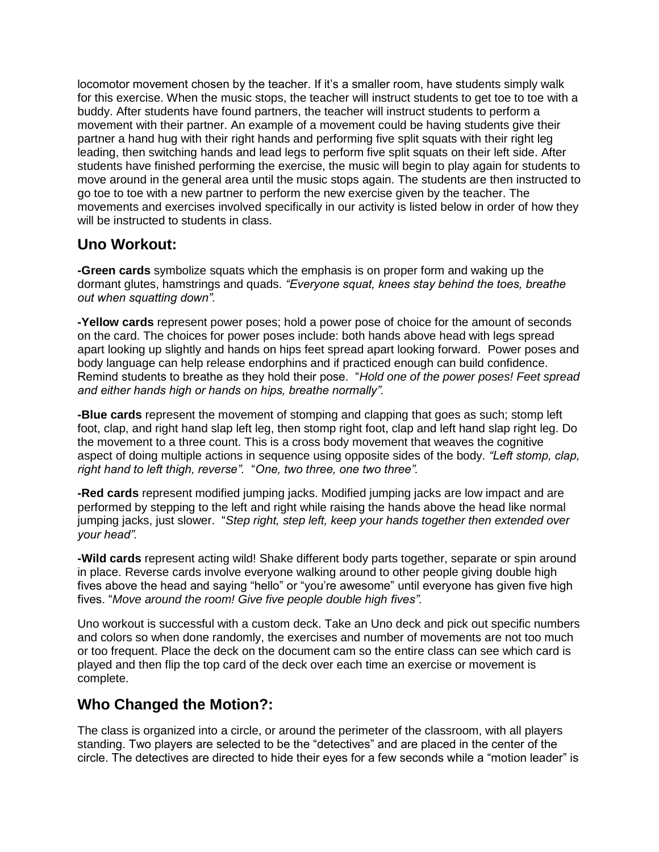locomotor movement chosen by the teacher. If it's a smaller room, have students simply walk for this exercise. When the music stops, the teacher will instruct students to get toe to toe with a buddy. After students have found partners, the teacher will instruct students to perform a movement with their partner. An example of a movement could be having students give their partner a hand hug with their right hands and performing five split squats with their right leg leading, then switching hands and lead legs to perform five split squats on their left side. After students have finished performing the exercise, the music will begin to play again for students to move around in the general area until the music stops again. The students are then instructed to go toe to toe with a new partner to perform the new exercise given by the teacher. The movements and exercises involved specifically in our activity is listed below in order of how they will be instructed to students in class.

# **Uno Workout:**

**-Green cards** symbolize squats which the emphasis is on proper form and waking up the dormant glutes, hamstrings and quads. *"Everyone squat, knees stay behind the toes, breathe out when squatting down".*

**-Yellow cards** represent power poses; hold a power pose of choice for the amount of seconds on the card. The choices for power poses include: both hands above head with legs spread apart looking up slightly and hands on hips feet spread apart looking forward. Power poses and body language can help release endorphins and if practiced enough can build confidence. Remind students to breathe as they hold their pose. "*Hold one of the power poses! Feet spread and either hands high or hands on hips, breathe normally".*

**-Blue cards** represent the movement of stomping and clapping that goes as such; stomp left foot, clap, and right hand slap left leg, then stomp right foot, clap and left hand slap right leg. Do the movement to a three count. This is a cross body movement that weaves the cognitive aspect of doing multiple actions in sequence using opposite sides of the body. *"Left stomp, clap, right hand to left thigh, reverse".* "*One, two three, one two three".*

**-Red cards** represent modified jumping jacks. Modified jumping jacks are low impact and are performed by stepping to the left and right while raising the hands above the head like normal jumping jacks, just slower. "*Step right, step left, keep your hands together then extended over your head".*

**-Wild cards** represent acting wild! Shake different body parts together, separate or spin around in place. Reverse cards involve everyone walking around to other people giving double high fives above the head and saying "hello" or "you're awesome" until everyone has given five high fives. "*Move around the room! Give five people double high fives".* 

Uno workout is successful with a custom deck. Take an Uno deck and pick out specific numbers and colors so when done randomly, the exercises and number of movements are not too much or too frequent. Place the deck on the document cam so the entire class can see which card is played and then flip the top card of the deck over each time an exercise or movement is complete.

# **Who Changed the Motion?:**

The class is organized into a circle, or around the perimeter of the classroom, with all players standing. Two players are selected to be the "detectives" and are placed in the center of the circle. The detectives are directed to hide their eyes for a few seconds while a "motion leader" is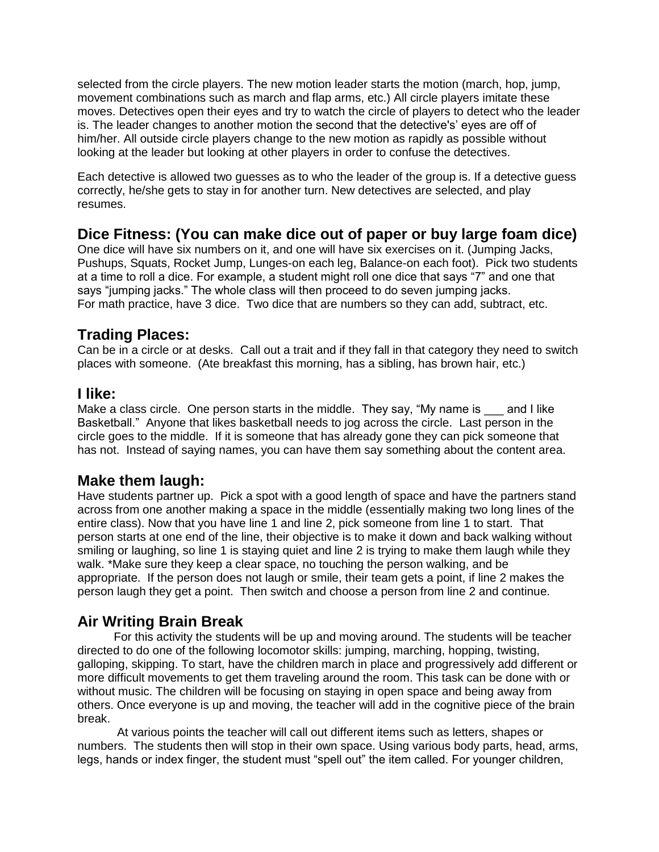selected from the circle players. The new motion leader starts the motion (march, hop, jump, movement combinations such as march and flap arms, etc.) All circle players imitate these moves. Detectives open their eyes and try to watch the circle of players to detect who the leader is. The leader changes to another motion the second that the detective's' eyes are off of him/her. All outside circle players change to the new motion as rapidly as possible without looking at the leader but looking at other players in order to confuse the detectives.

Each detective is allowed two guesses as to who the leader of the group is. If a detective guess correctly, he/she gets to stay in for another turn. New detectives are selected, and play resumes.

# **Dice Fitness: (You can make dice out of paper or buy large foam dice)**

One dice will have six numbers on it, and one will have six exercises on it. (Jumping Jacks, Pushups, Squats, Rocket Jump, Lunges-on each leg, Balance-on each foot). Pick two students at a time to roll a dice. For example, a student might roll one dice that says "7" and one that says "jumping jacks." The whole class will then proceed to do seven jumping jacks. For math practice, have 3 dice. Two dice that are numbers so they can add, subtract, etc.

# **Trading Places:**

Can be in a circle or at desks. Call out a trait and if they fall in that category they need to switch places with someone. (Ate breakfast this morning, has a sibling, has brown hair, etc.)

### **I like:**

Make a class circle. One person starts in the middle. They say, "My name is and I like Basketball." Anyone that likes basketball needs to jog across the circle. Last person in the circle goes to the middle. If it is someone that has already gone they can pick someone that has not. Instead of saying names, you can have them say something about the content area.

### **Make them laugh:**

Have students partner up. Pick a spot with a good length of space and have the partners stand across from one another making a space in the middle (essentially making two long lines of the entire class). Now that you have line 1 and line 2, pick someone from line 1 to start. That person starts at one end of the line, their objective is to make it down and back walking without smiling or laughing, so line 1 is staying quiet and line 2 is trying to make them laugh while they walk. \*Make sure they keep a clear space, no touching the person walking, and be appropriate. If the person does not laugh or smile, their team gets a point, if line 2 makes the person laugh they get a point. Then switch and choose a person from line 2 and continue.

### **Air Writing Brain Break**

 For this activity the students will be up and moving around. The students will be teacher directed to do one of the following locomotor skills: jumping, marching, hopping, twisting, galloping, skipping. To start, have the children march in place and progressively add different or more difficult movements to get them traveling around the room. This task can be done with or without music. The children will be focusing on staying in open space and being away from others. Once everyone is up and moving, the teacher will add in the cognitive piece of the brain break.

 At various points the teacher will call out different items such as letters, shapes or numbers. The students then will stop in their own space. Using various body parts, head, arms, legs, hands or index finger, the student must "spell out" the item called. For younger children,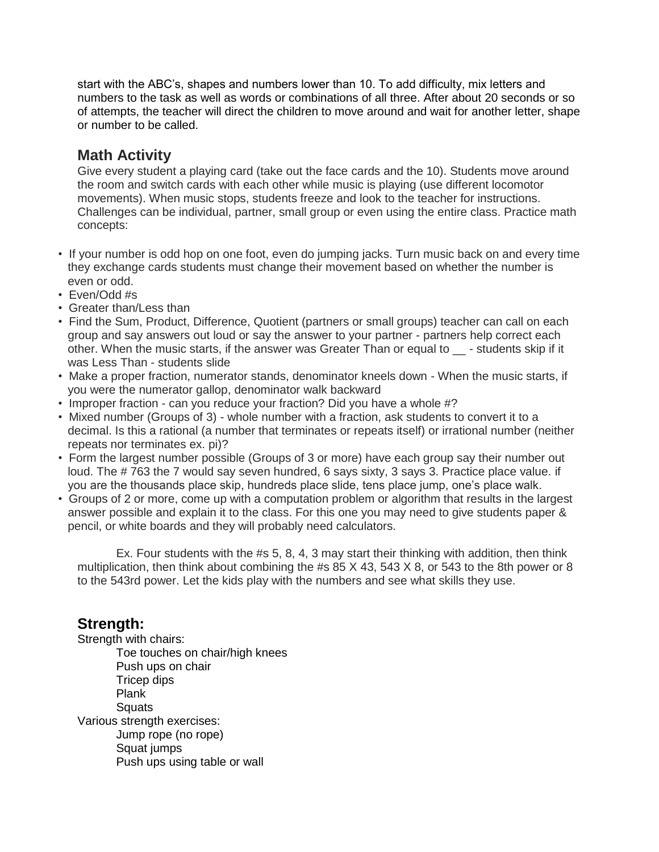start with the ABC's, shapes and numbers lower than 10. To add difficulty, mix letters and numbers to the task as well as words or combinations of all three. After about 20 seconds or so of attempts, the teacher will direct the children to move around and wait for another letter, shape or number to be called.

### **Math Activity**

Give every student a playing card (take out the face cards and the 10). Students move around the room and switch cards with each other while music is playing (use different locomotor movements). When music stops, students freeze and look to the teacher for instructions. Challenges can be individual, partner, small group or even using the entire class. Practice math concepts:

- If your number is odd hop on one foot, even do jumping jacks. Turn music back on and every time they exchange cards students must change their movement based on whether the number is even or odd.
- Even/Odd #s
- Greater than/Less than
- Find the Sum, Product, Difference, Quotient (partners or small groups) teacher can call on each group and say answers out loud or say the answer to your partner - partners help correct each other. When the music starts, if the answer was Greater Than or equal to - students skip if it was Less Than - students slide
- Make a proper fraction, numerator stands, denominator kneels down When the music starts, if you were the numerator gallop, denominator walk backward
- Improper fraction can you reduce your fraction? Did you have a whole #?
- Mixed number (Groups of 3) whole number with a fraction, ask students to convert it to a decimal. Is this a rational (a number that terminates or repeats itself) or irrational number (neither repeats nor terminates ex. pi)?
- Form the largest number possible (Groups of 3 or more) have each group say their number out loud. The # 763 the 7 would say seven hundred, 6 says sixty, 3 says 3. Practice place value. if you are the thousands place skip, hundreds place slide, tens place jump, one's place walk.
- Groups of 2 or more, come up with a computation problem or algorithm that results in the largest answer possible and explain it to the class. For this one you may need to give students paper & pencil, or white boards and they will probably need calculators.

Ex. Four students with the #s 5, 8, 4, 3 may start their thinking with addition, then think multiplication, then think about combining the #s 85 X 43, 543 X 8, or 543 to the 8th power or 8 to the 543rd power. Let the kids play with the numbers and see what skills they use.

# **Strength:**

Strength with chairs: Toe touches on chair/high knees Push ups on chair Tricep dips Plank **Squats** Various strength exercises: Jump rope (no rope) Squat jumps Push ups using table or wall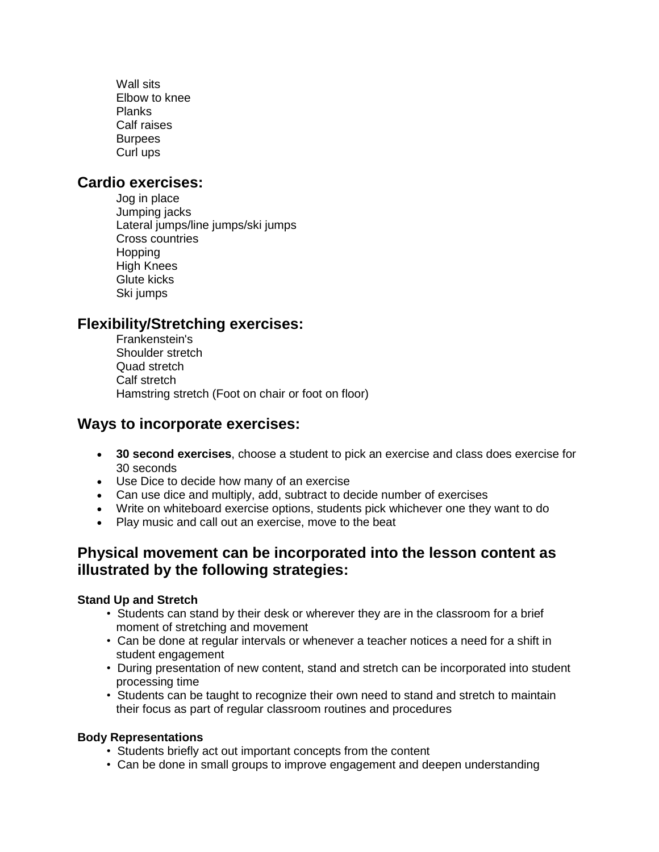Wall sits Elbow to knee Planks Calf raises **Burpees** Curl ups

### **Cardio exercises:**

Jog in place Jumping jacks Lateral jumps/line jumps/ski jumps Cross countries **Hopping** High Knees Glute kicks Ski jumps

### **Flexibility/Stretching exercises:**

Frankenstein's Shoulder stretch Quad stretch Calf stretch Hamstring stretch (Foot on chair or foot on floor)

# **Ways to incorporate exercises:**

- **30 second exercises**, choose a student to pick an exercise and class does exercise for 30 seconds
- Use Dice to decide how many of an exercise
- Can use dice and multiply, add, subtract to decide number of exercises
- Write on whiteboard exercise options, students pick whichever one they want to do
- Play music and call out an exercise, move to the beat

# **Physical movement can be incorporated into the lesson content as illustrated by the following strategies:**

#### **Stand Up and Stretch**

- Students can stand by their desk or wherever they are in the classroom for a brief moment of stretching and movement
- Can be done at regular intervals or whenever a teacher notices a need for a shift in student engagement
- During presentation of new content, stand and stretch can be incorporated into student processing time
- Students can be taught to recognize their own need to stand and stretch to maintain their focus as part of regular classroom routines and procedures

#### **Body Representations**

- Students briefly act out important concepts from the content
- Can be done in small groups to improve engagement and deepen understanding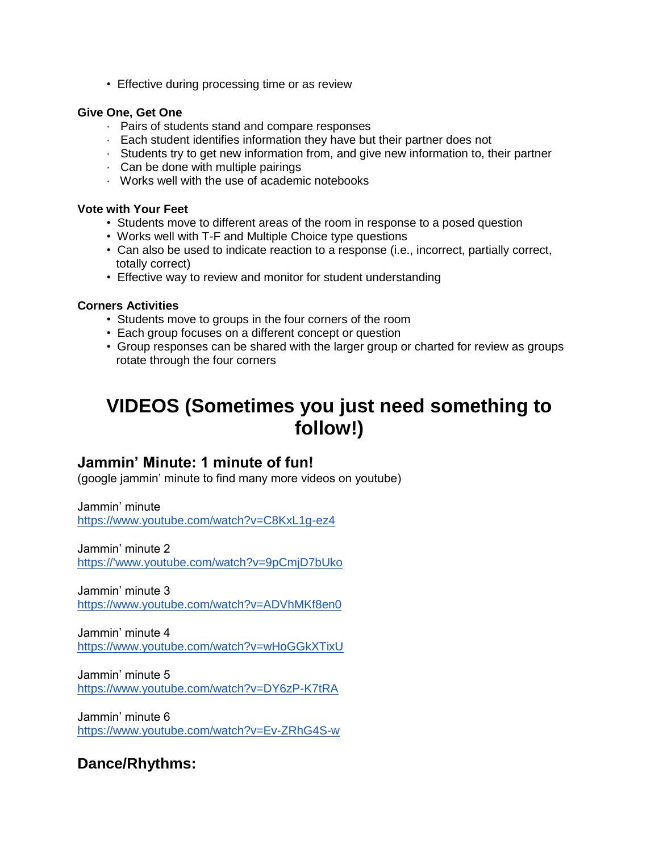• Effective during processing time or as review

#### **Give One, Get One**

- · Pairs of students stand and compare responses
- · Each student identifies information they have but their partner does not
- · Students try to get new information from, and give new information to, their partner
- · Can be done with multiple pairings
- · Works well with the use of academic notebooks

#### **Vote with Your Feet**

- Students move to different areas of the room in response to a posed question
- Works well with T-F and Multiple Choice type questions
- Can also be used to indicate reaction to a response (i.e., incorrect, partially correct, totally correct)
- Effective way to review and monitor for student understanding

#### **Corners Activities**

- Students move to groups in the four corners of the room
- Each group focuses on a different concept or question
- Group responses can be shared with the larger group or charted for review as groups rotate through the four corners

# **VIDEOS (Sometimes you just need something to follow!)**

### **Jammin' Minute: 1 minute of fun!**

(google jammin' minute to find many more videos on youtube)

Jammin' minute <https://www.youtube.com/watch?v=C8KxL1g-ez4>

Jammin' minute 2 [https://'www.youtube.com/watch?v=9pCmjD7bUko](https://www.youtube.com/watch?v=9pCmjD7bUko)

Jammin' minute 3 <https://www.youtube.com/watch?v=ADVhMKf8en0>

Jammin' minute 4 <https://www.youtube.com/watch?v=wHoGGkXTixU>

Jammin' minute 5 <https://www.youtube.com/watch?v=DY6zP-K7tRA>

Jammin' minute 6 <https://www.youtube.com/watch?v=Ev-ZRhG4S-w>

### **Dance/Rhythms:**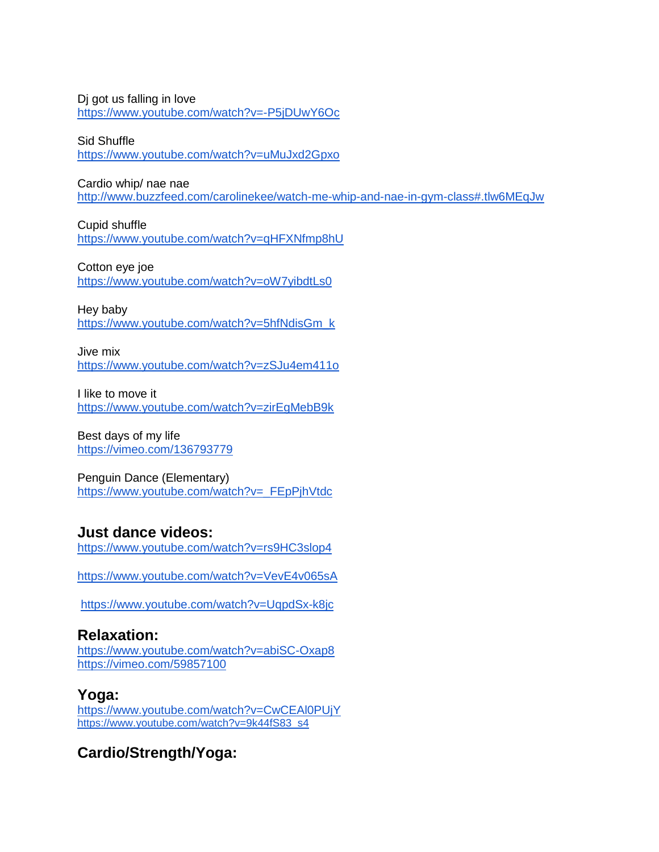#### Dj got us falling in love

<https://www.youtube.com/watch?v=-P5jDUwY6Oc>

#### Sid Shuffle

<https://www.youtube.com/watch?v=uMuJxd2Gpxo>

#### Cardio whip/ nae nae

<http://www.buzzfeed.com/carolinekee/watch-me-whip-and-nae-in-gym-class#.tlw6MEqJw>

#### Cupid shuffle

<https://www.youtube.com/watch?v=qHFXNfmp8hU>

#### Cotton eye joe

<https://www.youtube.com/watch?v=oW7yibdtLs0>

#### Hey baby

[https://www.youtube.com/watch?v=5hfNdisGm\\_k](https://www.youtube.com/watch?v=5hfNdisGm_k)

#### Jive mix

<https://www.youtube.com/watch?v=zSJu4em411o>

#### I like to move it <https://www.youtube.com/watch?v=zirEgMebB9k>

Best days of my life <https://vimeo.com/136793779>

#### Penguin Dance (Elementary) [https://www.youtube.com/watch?v=\\_FEpPjhVtdc](https://www.youtube.com/watch?v=_FEpPjhVtdc)

#### **Just dance videos:**

<https://www.youtube.com/watch?v=rs9HC3slop4>

<https://www.youtube.com/watch?v=VevE4v065sA>

<https://www.youtube.com/watch?v=UqpdSx-k8jc>

### **Relaxation:**

<https://www.youtube.com/watch?v=abiSC-Oxap8> <https://vimeo.com/59857100>

### **Yoga:**

<https://www.youtube.com/watch?v=CwCEAl0PUjY> [https://www.youtube.com/watch?v=9k44fS83\\_s4](https://www.youtube.com/watch?v=9k44fS83_s4)

# **Cardio/Strength/Yoga:**